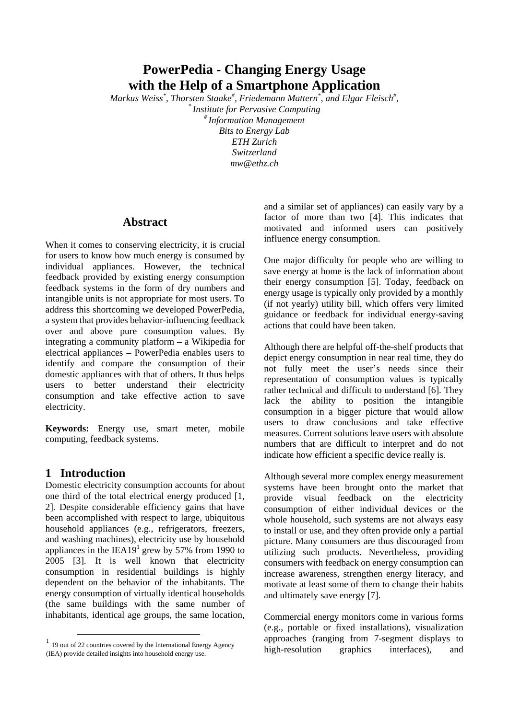# **PowerPedia - Changing Energy Usage with the Help of a Smartphone Application**

*Markus Weiss\* , Thorsten Staake# , Friedemann Mattern\* , and Elgar Fleisch# , \* Institute for Pervasive Computing # Information Management Bits to Energy Lab ETH Zurich* 

*Switzerland mw@ethz.ch* 

### **Abstract**

When it comes to conserving electricity, it is crucial for users to know how much energy is consumed by individual appliances. However, the technical feedback provided by existing energy consumption feedback systems in the form of dry numbers and intangible units is not appropriate for most users. To address this shortcoming we developed PowerPedia, a system that provides behavior-influencing feedback over and above pure consumption values. By integrating a community platform – a Wikipedia for electrical appliances – PowerPedia enables users to identify and compare the consumption of their domestic appliances with that of others. It thus helps users to better understand their electricity consumption and take effective action to save electricity.

**Keywords:** Energy use, smart meter, mobile computing, feedback systems.

# **1 Introduction**

Domestic electricity consumption accounts for about one third of the total electrical energy produced [1, 2]. Despite considerable efficiency gains that have been accomplished with respect to large, ubiquitous household appliances (e.g., refrigerators, freezers, and washing machines), electricity use by household appliances in the IEA19<sup>1</sup> grew by 57% from 1990 to 2005 [3]. It is well known that electricity consumption in residential buildings is highly dependent on the behavior of the inhabitants. The energy consumption of virtually identical households (the same buildings with the same number of inhabitants, identical age groups, the same location,

and a similar set of appliances) can easily vary by a factor of more than two [4]. This indicates that motivated and informed users can positively influence energy consumption.

One major difficulty for people who are willing to save energy at home is the lack of information about their energy consumption [5]. Today, feedback on energy usage is typically only provided by a monthly (if not yearly) utility bill, which offers very limited guidance or feedback for individual energy-saving actions that could have been taken.

Although there are helpful off-the-shelf products that depict energy consumption in near real time, they do not fully meet the user's needs since their representation of consumption values is typically rather technical and difficult to understand [6]. They lack the ability to position the intangible consumption in a bigger picture that would allow users to draw conclusions and take effective measures. Current solutions leave users with absolute numbers that are difficult to interpret and do not indicate how efficient a specific device really is.

Although several more complex energy measurement systems have been brought onto the market that provide visual feedback on the electricity consumption of either individual devices or the whole household, such systems are not always easy to install or use, and they often provide only a partial picture. Many consumers are thus discouraged from utilizing such products. Nevertheless, providing consumers with feedback on energy consumption can increase awareness, strengthen energy literacy, and motivate at least some of them to change their habits and ultimately save energy [7].

Commercial energy monitors come in various forms (e.g., portable or fixed installations), visualization approaches (ranging from 7-segment displays to high-resolution graphics interfaces), and

 <sup>1</sup> 19 out of 22 countries covered by the International Energy Agency (IEA) provide detailed insights into household energy use.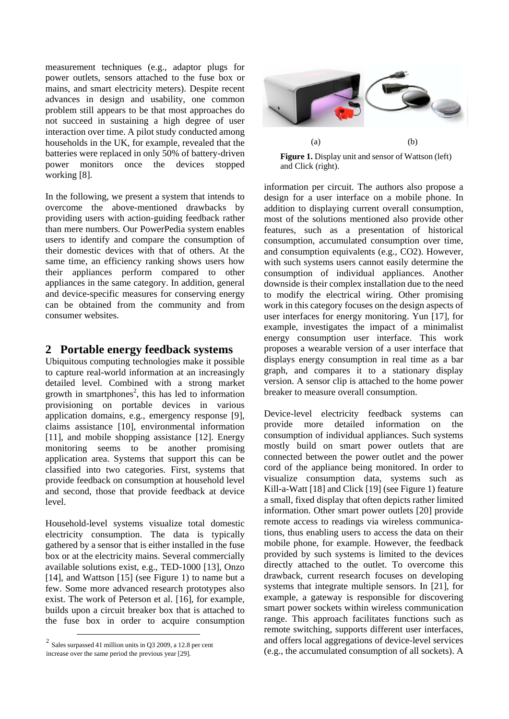measurement techniques (e.g., adaptor plugs for power outlets, sensors attached to the fuse box or mains, and smart electricity meters). Despite recent advances in design and usability, one common problem still appears to be that most approaches do not succeed in sustaining a high degree of user interaction over time. A pilot study conducted among households in the UK, for example, revealed that the batteries were replaced in only 50% of battery-driven power monitors once the devices stopped working [8].

In the following, we present a system that intends to overcome the above-mentioned drawbacks by providing users with action-guiding feedback rather than mere numbers. Our PowerPedia system enables users to identify and compare the consumption of their domestic devices with that of others. At the same time, an efficiency ranking shows users how their appliances perform compared to other appliances in the same category. In addition, general and device-specific measures for conserving energy can be obtained from the community and from consumer websites.

### **2 Portable energy feedback systems**

Ubiquitous computing technologies make it possible to capture real-world information at an increasingly detailed level. Combined with a strong market growth in smartphones<sup>2</sup>, this has led to information provisioning on portable devices in various application domains, e.g., emergency response [9], claims assistance [10], environmental information [11], and mobile shopping assistance [12]. Energy monitoring seems to be another promising application area. Systems that support this can be classified into two categories. First, systems that provide feedback on consumption at household level and second, those that provide feedback at device level.

Household-level systems visualize total domestic electricity consumption. The data is typically gathered by a sensor that is either installed in the fuse box or at the electricity mains. Several commercially available solutions exist, e.g., TED-1000 [13], Onzo [14], and Wattson [15] (see Figure 1) to name but a few. Some more advanced research prototypes also exist. The work of Peterson et al. [16], for example, builds upon a circuit breaker box that is attached to the fuse box in order to acquire consumption



**Figure 1.** Display unit and sensor of Wattson (left) and Click (right).

information per circuit. The authors also propose a design for a user interface on a mobile phone. In addition to displaying current overall consumption, most of the solutions mentioned also provide other features, such as a presentation of historical consumption, accumulated consumption over time, and consumption equivalents (e.g., CO2). However, with such systems users cannot easily determine the consumption of individual appliances. Another downside is their complex installation due to the need to modify the electrical wiring. Other promising work in this category focuses on the design aspects of user interfaces for energy monitoring. Yun [17], for example, investigates the impact of a minimalist energy consumption user interface. This work proposes a wearable version of a user interface that displays energy consumption in real time as a bar graph, and compares it to a stationary display version. A sensor clip is attached to the home power breaker to measure overall consumption.

Device-level electricity feedback systems can provide more detailed information on the consumption of individual appliances. Such systems mostly build on smart power outlets that are connected between the power outlet and the power cord of the appliance being monitored. In order to visualize consumption data, systems such as Kill-a-Watt [18] and Click [19] (see Figure 1) feature a small, fixed display that often depicts rather limited information. Other smart power outlets [20] provide remote access to readings via wireless communications, thus enabling users to access the data on their mobile phone, for example. However, the feedback provided by such systems is limited to the devices directly attached to the outlet. To overcome this drawback, current research focuses on developing systems that integrate multiple sensors. In [21], for example, a gateway is responsible for discovering smart power sockets within wireless communication range. This approach facilitates functions such as remote switching, supports different user interfaces, and offers local aggregations of device-level services (e.g., the accumulated consumption of all sockets). A

 $2$  Sales surpassed 41 million units in Q3 2009, a 12.8 per cent increase over the same period the previous year [29].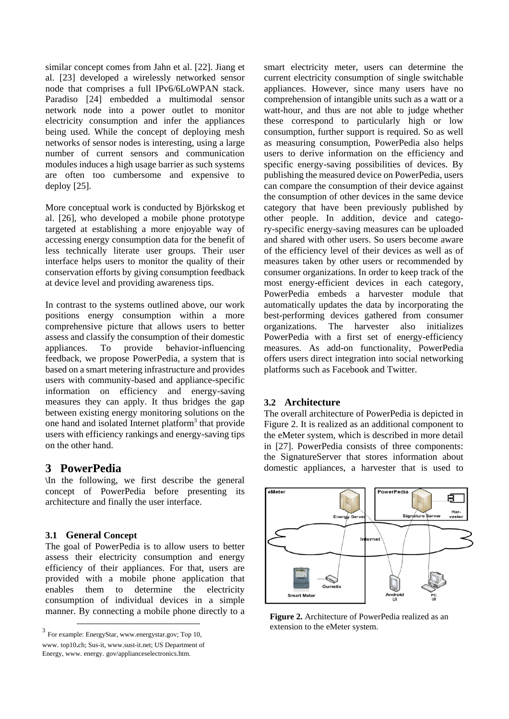similar concept comes from Jahn et al. [22]. Jiang et al. [23] developed a wirelessly networked sensor node that comprises a full IPv6/6LoWPAN stack. Paradiso [24] embedded a multimodal sensor network node into a power outlet to monitor electricity consumption and infer the appliances being used. While the concept of deploying mesh networks of sensor nodes is interesting, using a large number of current sensors and communication modules induces a high usage barrier as such systems are often too cumbersome and expensive to deploy [25].

More conceptual work is conducted by Björkskog et al. [26], who developed a mobile phone prototype targeted at establishing a more enjoyable way of accessing energy consumption data for the benefit of less technically literate user groups. Their user interface helps users to monitor the quality of their conservation efforts by giving consumption feedback at device level and providing awareness tips.

In contrast to the systems outlined above, our work positions energy consumption within a more comprehensive picture that allows users to better assess and classify the consumption of their domestic appliances. To provide behavior-influencing feedback, we propose PowerPedia, a system that is based on a smart metering infrastructure and provides users with community-based and appliance-specific information on efficiency and energy-saving measures they can apply. It thus bridges the gap between existing energy monitoring solutions on the one hand and isolated Internet platform<sup>3</sup> that provide users with efficiency rankings and energy-saving tips on the other hand.

#### **3 PowerPedia**

**\**In the following, we first describe the general concept of PowerPedia before presenting its architecture and finally the user interface.

#### **3.1 General Concept**

The goal of PowerPedia is to allow users to better assess their electricity consumption and energy efficiency of their appliances. For that, users are provided with a mobile phone application that enables them to determine the electricity consumption of individual devices in a simple manner. By connecting a mobile phone directly to a

smart electricity meter, users can determine the current electricity consumption of single switchable appliances. However, since many users have no comprehension of intangible units such as a watt or a watt-hour, and thus are not able to judge whether these correspond to particularly high or low consumption, further support is required. So as well as measuring consumption, PowerPedia also helps users to derive information on the efficiency and specific energy-saving possibilities of devices. By publishing the measured device on PowerPedia, users can compare the consumption of their device against the consumption of other devices in the same device category that have been previously published by other people. In addition, device and category-specific energy-saving measures can be uploaded and shared with other users. So users become aware of the efficiency level of their devices as well as of measures taken by other users or recommended by consumer organizations. In order to keep track of the most energy-efficient devices in each category, PowerPedia embeds a harvester module that automatically updates the data by incorporating the best-performing devices gathered from consumer organizations. The harvester also initializes PowerPedia with a first set of energy-efficiency measures. As add-on functionality, PowerPedia offers users direct integration into social networking platforms such as Facebook and Twitter.

#### **3.2 Architecture**

The overall architecture of PowerPedia is depicted in Figure 2. It is realized as an additional component to the eMeter system, which is described in more detail in [27]. PowerPedia consists of three components: the SignatureServer that stores information about domestic appliances, a harvester that is used to



**Figure 2.** Architecture of PowerPedia realized as an extension to the eMeter system.

 <sup>3</sup> For example: EnergyStar, www.energystar.gov; Top 10, www. top10.ch; Sus-it, www.sust-it.net; US Department of Energy, www. energy. gov/applianceselectronics.htm.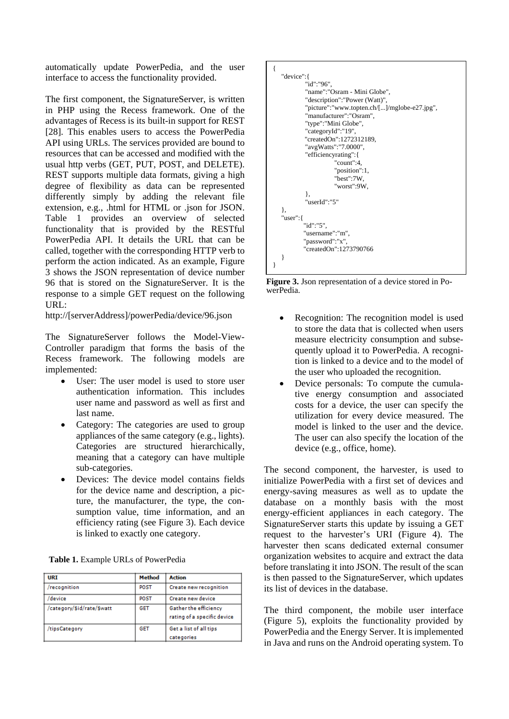automatically update PowerPedia, and the user interface to access the functionality provided.

The first component, the SignatureServer, is written in PHP using the Recess framework. One of the advantages of Recess is its built-in support for REST [28]. This enables users to access the PowerPedia API using URLs. The services provided are bound to resources that can be accessed and modified with the usual http verbs (GET, PUT, POST, and DELETE). REST supports multiple data formats, giving a high degree of flexibility as data can be represented differently simply by adding the relevant file extension, e.g., .html for HTML or .json for JSON. Table 1 provides an overview of selected functionality that is provided by the RESTful PowerPedia API. It details the URL that can be called, together with the corresponding HTTP verb to perform the action indicated. As an example, Figure 3 shows the JSON representation of device number 96 that is stored on the SignatureServer. It is the response to a simple GET request on the following URL:

http://[serverAddress]/powerPedia/device/96.json

The SignatureServer follows the Model-View-Controller paradigm that forms the basis of the Recess framework. The following models are implemented:

- User: The user model is used to store user authentication information. This includes user name and password as well as first and last name.
- Category: The categories are used to group appliances of the same category (e.g., lights). Categories are structured hierarchically, meaning that a category can have multiple sub-categories.
- Devices: The device model contains fields for the device name and description, a picture, the manufacturer, the type, the consumption value, time information, and an efficiency rating (see Figure 3). Each device is linked to exactly one category.

| <b>URI</b>                 | Method      | <b>Action</b>                                        |
|----------------------------|-------------|------------------------------------------------------|
| /recognition               | POST        | Create new recognition                               |
| /device                    | <b>POST</b> | Create new device                                    |
| category/\$id/rate/\$watt/ | <b>GET</b>  | Gather the efficiency<br>rating of a specific device |
| tipsCategory/              | <b>GET</b>  | Get a list of all tips<br>categories                 |

|  | Table 1. Example URLs of PowerPedia |
|--|-------------------------------------|
|  |                                     |

| "device":{                                   |
|----------------------------------------------|
| "id":"96".                                   |
| "name":"Osram - Mini Globe",                 |
| "description": "Power (Watt)",               |
| "picture":"www.topten.ch/[]/mglobe-e27.jpg", |
| "manufacturer":"Osram",                      |
| "type": "Mini Globe",                        |
| "categoryId":"19",                           |
| "createdOn":1272312189,                      |
| "avgWatts":"7.0000",                         |
| "efficiencyrating":{                         |
| " $count$ ":4,                               |
| "position":1,<br>"best":7W,                  |
| "worst":9W,                                  |
|                                              |
| "userId":"5"                                 |
| },                                           |
| "user": $\{$                                 |
| "id":"5",                                    |
| "username":"m",                              |
| "password":"x",                              |
| "createdOn":1273790766                       |
|                                              |
|                                              |

**Figure 3.** Json representation of a device stored in PowerPedia.

- Recognition: The recognition model is used to store the data that is collected when users measure electricity consumption and subsequently upload it to PowerPedia. A recognition is linked to a device and to the model of the user who uploaded the recognition.
- Device personals: To compute the cumulative energy consumption and associated costs for a device, the user can specify the utilization for every device measured. The model is linked to the user and the device. The user can also specify the location of the device (e.g., office, home).

The second component, the harvester, is used to initialize PowerPedia with a first set of devices and energy-saving measures as well as to update the database on a monthly basis with the most energy-efficient appliances in each category. The SignatureServer starts this update by issuing a GET request to the harvester's URI (Figure 4). The harvester then scans dedicated external consumer organization websites to acquire and extract the data before translating it into JSON. The result of the scan is then passed to the SignatureServer, which updates its list of devices in the database.

The third component, the mobile user interface (Figure 5), exploits the functionality provided by PowerPedia and the Energy Server. It is implemented in Java and runs on the Android operating system. To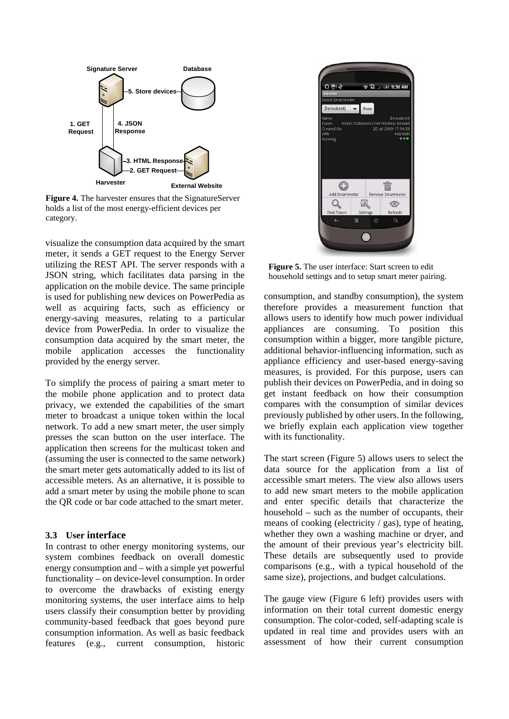

**Figure 4.** The harvester ensures that the SignatureServer holds a list of the most energy-efficient devices per category.

visualize the consumption data acquired by the smart meter, it sends a GET request to the Energy Server utilizing the REST API. The server responds with a JSON string, which facilitates data parsing in the application on the mobile device. The same principle is used for publishing new devices on PowerPedia as well as acquiring facts, such as efficiency or energy-saving measures, relating to a particular device from PowerPedia. In order to visualize the consumption data acquired by the smart meter, the mobile application accesses the functionality provided by the energy server.

To simplify the process of pairing a smart meter to the mobile phone application and to protect data privacy, we extended the capabilities of the smart meter to broadcast a unique token within the local network. To add a new smart meter, the user simply presses the scan button on the user interface. The application then screens for the multicast token and (assuming the user is connected to the same network) the smart meter gets automatically added to its list of accessible meters. As an alternative, it is possible to add a smart meter by using the mobile phone to scan the QR code or bar code attached to the smart meter.

#### **3.3 User interface**

In contrast to other energy monitoring systems, our system combines feedback on overall domestic energy consumption and – with a simple yet powerful functionality – on device-level consumption. In order to overcome the drawbacks of existing energy monitoring systems, the user interface aims to help users classify their consumption better by providing community-based feedback that goes beyond pure consumption information. As well as basic feedback features (e.g., current consumption, historic



**Figure 5.** The user interface: Start screen to edit household settings and to setup smart meter pairing.

consumption, and standby consumption), the system therefore provides a measurement function that allows users to identify how much power individual appliances are consuming. To position this consumption within a bigger, more tangible picture, additional behavior-influencing information, such as appliance efficiency and user-based energy-saving measures, is provided. For this purpose, users can publish their devices on PowerPedia, and in doing so get instant feedback on how their consumption compares with the consumption of similar devices previously published by other users. In the following, we briefly explain each application view together with its functionality.

The start screen (Figure 5) allows users to select the data source for the application from a list of accessible smart meters. The view also allows users to add new smart meters to the mobile application and enter specific details that characterize the household – such as the number of occupants, their means of cooking (electricity / gas), type of heating, whether they own a washing machine or dryer, and the amount of their previous year's electricity bill. These details are subsequently used to provide comparisons (e.g., with a typical household of the same size), projections, and budget calculations.

The gauge view (Figure 6 left) provides users with information on their total current domestic energy consumption. The color-coded, self-adapting scale is updated in real time and provides users with an assessment of how their current consumption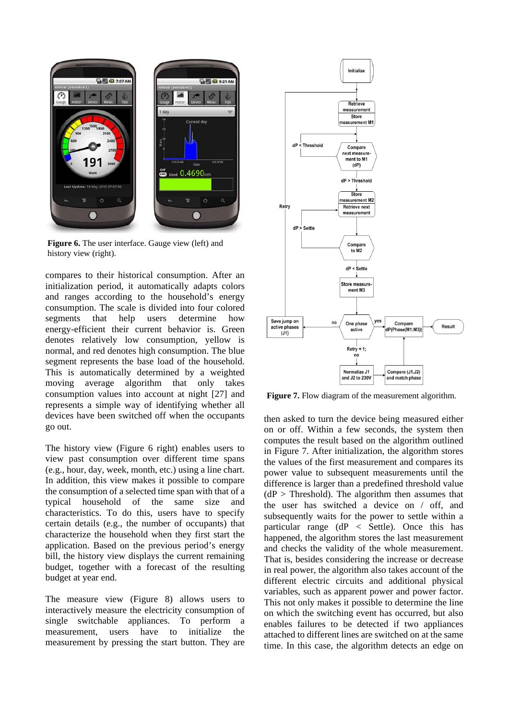

**Figure 6.** The user interface. Gauge view (left) and history view (right).

compares to their historical consumption. After an initialization period, it automatically adapts colors and ranges according to the household's energy consumption. The scale is divided into four colored segments that help users determine how energy-efficient their current behavior is. Green denotes relatively low consumption, yellow is normal, and red denotes high consumption. The blue segment represents the base load of the household. This is automatically determined by a weighted moving average algorithm that only takes consumption values into account at night [27] and represents a simple way of identifying whether all devices have been switched off when the occupants go out.

The history view (Figure 6 right) enables users to view past consumption over different time spans (e.g., hour, day, week, month, etc.) using a line chart. In addition, this view makes it possible to compare the consumption of a selected time span with that of a typical household of the same size and characteristics. To do this, users have to specify certain details (e.g., the number of occupants) that characterize the household when they first start the application. Based on the previous period's energy bill, the history view displays the current remaining budget, together with a forecast of the resulting budget at year end.

The measure view (Figure 8) allows users to interactively measure the electricity consumption of single switchable appliances. To perform a measurement, users have to initialize the measurement by pressing the start button. They are



Figure 7. Flow diagram of the measurement algorithm.

then asked to turn the device being measured either on or off. Within a few seconds, the system then computes the result based on the algorithm outlined in Figure 7. After initialization, the algorithm stores the values of the first measurement and compares its power value to subsequent measurements until the difference is larger than a predefined threshold value  $(dP > Threshold)$ . The algorithm then assumes that the user has switched a device on / off, and subsequently waits for the power to settle within a particular range  $(dP <$  Settle). Once this has happened, the algorithm stores the last measurement and checks the validity of the whole measurement. That is, besides considering the increase or decrease in real power, the algorithm also takes account of the different electric circuits and additional physical variables, such as apparent power and power factor. This not only makes it possible to determine the line on which the switching event has occurred, but also enables failures to be detected if two appliances attached to different lines are switched on at the same time. In this case, the algorithm detects an edge on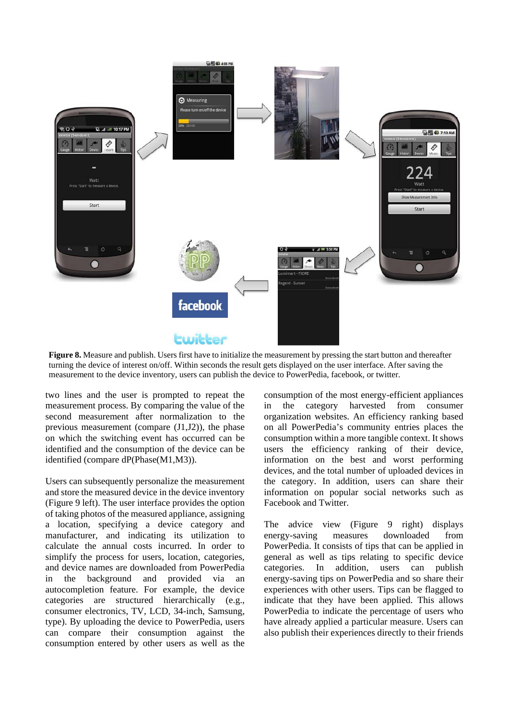

**Figure 8.** Measure and publish. Users first have to initialize the measurement by pressing the start button and thereafter turning the device of interest on/off. Within seconds the result gets displayed on the user interface. After saving the measurement to the device inventory, users can publish the device to PowerPedia, facebook, or twitter.

two lines and the user is prompted to repeat the measurement process. By comparing the value of the second measurement after normalization to the previous measurement (compare (J1,J2)), the phase on which the switching event has occurred can be identified and the consumption of the device can be identified (compare dP(Phase(M1,M3)).

Users can subsequently personalize the measurement and store the measured device in the device inventory (Figure 9 left). The user interface provides the option of taking photos of the measured appliance, assigning a location, specifying a device category and manufacturer, and indicating its utilization to calculate the annual costs incurred. In order to simplify the process for users, location, categories, and device names are downloaded from PowerPedia in the background and provided via an autocompletion feature. For example, the device categories are structured hierarchically (e.g., consumer electronics, TV, LCD, 34-inch, Samsung, type). By uploading the device to PowerPedia, users can compare their consumption against the consumption entered by other users as well as the

consumption of the most energy-efficient appliances in the category harvested from consumer organization websites. An efficiency ranking based on all PowerPedia's community entries places the consumption within a more tangible context. It shows users the efficiency ranking of their device, information on the best and worst performing devices, and the total number of uploaded devices in the category. In addition, users can share their information on popular social networks such as Facebook and Twitter.

The advice view (Figure 9 right) displays energy-saving measures downloaded from PowerPedia. It consists of tips that can be applied in general as well as tips relating to specific device categories. In addition, users can publish energy-saving tips on PowerPedia and so share their experiences with other users. Tips can be flagged to indicate that they have been applied. This allows PowerPedia to indicate the percentage of users who have already applied a particular measure. Users can also publish their experiences directly to their friends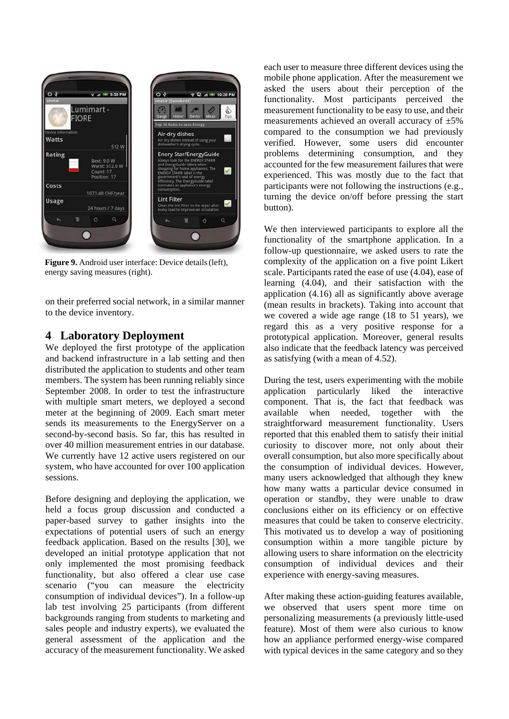

Figure 9. Android user interface: Device details (left), energy saving measures (right).

on their preferred social network, in a similar manner to the device inventory.

# **4 Laboratory Deployment**

We deployed the first prototype of the application and backend infrastructure in a lab setting and then distributed the application to students and other team members. The system has been running reliably since September 2008. In order to test the infrastructure with multiple smart meters, we deployed a second meter at the beginning of 2009. Each smart meter sends its measurements to the EnergyServer on a second-by-second basis. So far, this has resulted in over 40 million measurement entries in our database. We currently have 12 active users registered on our system, who have accounted for over 100 application sessions.

Before designing and deploying the application, we held a focus group discussion and conducted a paper-based survey to gather insights into the expectations of potential users of such an energy feedback application. Based on the results [30], we developed an initial prototype application that not only implemented the most promising feedback functionality, but also offered a clear use case scenario ("you can measure the electricity consumption of individual devices"). In a follow-up lab test involving 25 participants (from different backgrounds ranging from students to marketing and sales people and industry experts), we evaluated the general assessment of the application and the accuracy of the measurement functionality. We asked each user to measure three different devices using the mobile phone application. After the measurement we asked the users about their perception of the functionality. Most participants perceived the measurement functionality to be easy to use, and their measurements achieved an overall accuracy of  $\pm 5\%$ compared to the consumption we had previously verified. However, some users did encounter problems determining consumption, and they accounted for the few measurement failures that were experienced. This was mostly due to the fact that participants were not following the instructions (e.g., turning the device on/off before pressing the start button).

We then interviewed participants to explore all the functionality of the smartphone application. In a follow-up questionnaire, we asked users to rate the complexity of the application on a five point Likert scale. Participants rated the ease of use (4.04), ease of learning (4.04), and their satisfaction with the application (4.16) all as significantly above average (mean results in brackets). Taking into account that we covered a wide age range (18 to 51 years), we regard this as a very positive response for a prototypical application. Moreover, general results also indicate that the feedback latency was perceived as satisfying (with a mean of 4.52).

During the test, users experimenting with the mobile application particularly liked the interactive component. That is, the fact that feedback was available when needed, together with the straightforward measurement functionality. Users reported that this enabled them to satisfy their initial curiosity to discover more, not only about their overall consumption, but also more specifically about the consumption of individual devices. However, many users acknowledged that although they knew how many watts a particular device consumed in operation or standby, they were unable to draw conclusions either on its efficiency or on effective measures that could be taken to conserve electricity. This motivated us to develop a way of positioning consumption within a more tangible picture by allowing users to share information on the electricity consumption of individual devices and their experience with energy-saving measures.

After making these action-guiding features available, we observed that users spent more time on personalizing measurements (a previously little-used feature). Most of them were also curious to know how an appliance performed energy-wise compared with typical devices in the same category and so they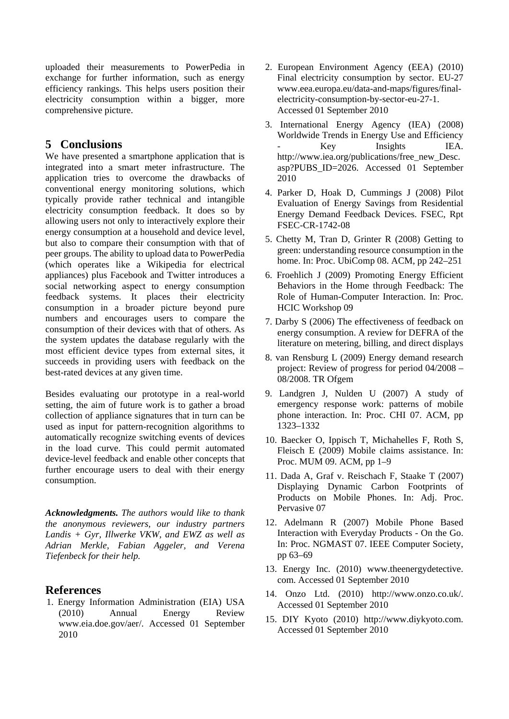uploaded their measurements to PowerPedia in exchange for further information, such as energy efficiency rankings. This helps users position their electricity consumption within a bigger, more comprehensive picture.

### **5 Conclusions**

We have presented a smartphone application that is integrated into a smart meter infrastructure. The application tries to overcome the drawbacks of conventional energy monitoring solutions, which typically provide rather technical and intangible electricity consumption feedback. It does so by allowing users not only to interactively explore their energy consumption at a household and device level, but also to compare their consumption with that of peer groups. The ability to upload data to PowerPedia (which operates like a Wikipedia for electrical appliances) plus Facebook and Twitter introduces a social networking aspect to energy consumption feedback systems. It places their electricity consumption in a broader picture beyond pure numbers and encourages users to compare the consumption of their devices with that of others. As the system updates the database regularly with the most efficient device types from external sites, it succeeds in providing users with feedback on the best-rated devices at any given time.

Besides evaluating our prototype in a real-world setting, the aim of future work is to gather a broad collection of appliance signatures that in turn can be used as input for pattern-recognition algorithms to automatically recognize switching events of devices in the load curve. This could permit automated device-level feedback and enable other concepts that further encourage users to deal with their energy consumption.

*Acknowledgments. The authors would like to thank the anonymous reviewers, our industry partners Landis + Gyr, Illwerke VKW, and EWZ as well as Adrian Merkle, Fabian Aggeler, and Verena Tiefenbeck for their help.* 

### **References**

1. Energy Information Administration (EIA) USA (2010) Annual Energy Review www.eia.doe.gov/aer/. Accessed 01 September 2010

- 2. European Environment Agency (EEA) (2010) Final electricity consumption by sector. EU-27 www.eea.europa.eu/data-and-maps/figures/finalelectricity-consumption-by-sector-eu-27-1. Accessed 01 September 2010
- 3. International Energy Agency (IEA) (2008) Worldwide Trends in Energy Use and Efficiency Key Insights IEA. http://www.iea.org/publications/free\_new\_Desc. asp?PUBS\_ID=2026. Accessed 01 September 2010
- 4. Parker D, Hoak D, Cummings J (2008) Pilot Evaluation of Energy Savings from Residential Energy Demand Feedback Devices. FSEC, Rpt FSEC-CR-1742-08
- 5. Chetty M, Tran D, Grinter R (2008) Getting to green: understanding resource consumption in the home. In: Proc. UbiComp 08. ACM, pp 242–251
- 6. Froehlich J (2009) Promoting Energy Efficient Behaviors in the Home through Feedback: The Role of Human-Computer Interaction. In: Proc. HCIC Workshop 09
- 7. Darby S (2006) The effectiveness of feedback on energy consumption. A review for DEFRA of the literature on metering, billing, and direct displays
- 8. van Rensburg L (2009) Energy demand research project: Review of progress for period 04/2008 – 08/2008. TR Ofgem
- 9. Landgren J, Nulden U (2007) A study of emergency response work: patterns of mobile phone interaction. In: Proc. CHI 07. ACM, pp 1323–1332
- 10. Baecker O, Ippisch T, Michahelles F, Roth S, Fleisch E (2009) Mobile claims assistance. In: Proc. MUM 09. ACM, pp 1–9
- 11. Dada A, Graf v. Reischach F, Staake T (2007) Displaying Dynamic Carbon Footprints of Products on Mobile Phones. In: Adj. Proc. Pervasive 07
- 12. Adelmann R (2007) Mobile Phone Based Interaction with Everyday Products - On the Go. In: Proc. NGMAST 07. IEEE Computer Society, pp 63–69
- 13. Energy Inc. (2010) www.theenergydetective. com. Accessed 01 September 2010
- 14. Onzo Ltd. (2010) http://www.onzo.co.uk/. Accessed 01 September 2010
- 15. DIY Kyoto (2010) http://www.diykyoto.com. Accessed 01 September 2010